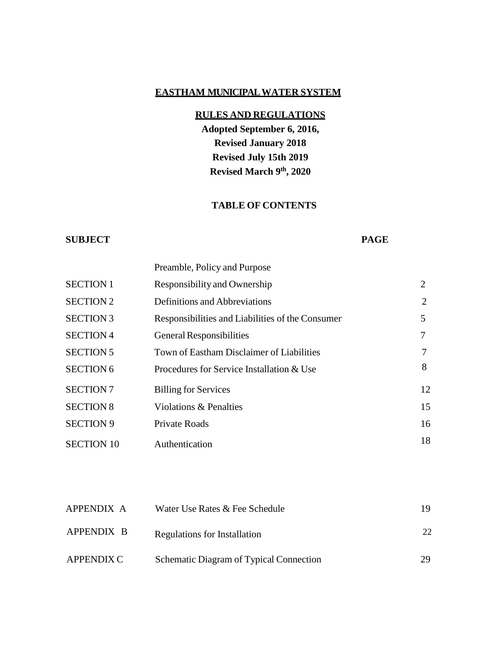### **EASTHAM MUNICIPALWATER SYSTEM**

# **RULES AND REGULATIONS**

**Adopted September 6, 2016, Revised January 2018 Revised July 15th 2019 Revised March 9th, 2020**

# **TABLE OF CONTENTS**

#### **SUBJECT**

#### **PAGE**

|                                            | Preamble, Policy and Purpose                     |    |
|--------------------------------------------|--------------------------------------------------|----|
| <b>SECTION 1</b>                           | Responsibility and Ownership                     | 2  |
| <b>SECTION 2</b>                           | Definitions and Abbreviations                    | 2  |
| <b>SECTION 3</b>                           | Responsibilities and Liabilities of the Consumer | 5  |
| <b>SECTION 4</b>                           | <b>General Responsibilities</b>                  | 7  |
| <b>SECTION 5</b>                           | Town of Eastham Disclaimer of Liabilities        | 7  |
| <b>SECTION 6</b>                           | Procedures for Service Installation & Use        | 8  |
| <b>SECTION 7</b>                           | <b>Billing for Services</b>                      | 12 |
| <b>SECTION 8</b><br>Violations & Penalties |                                                  | 15 |
| <b>SECTION 9</b>                           | <b>Private Roads</b>                             | 16 |
| Authentication<br><b>SECTION 10</b>        |                                                  | 18 |

| APPENDIX A | Water Use Rates & Fee Schedule          | 19  |
|------------|-----------------------------------------|-----|
| APPENDIX B | Regulations for Installation            | 22. |
| APPENDIX C | Schematic Diagram of Typical Connection | 29  |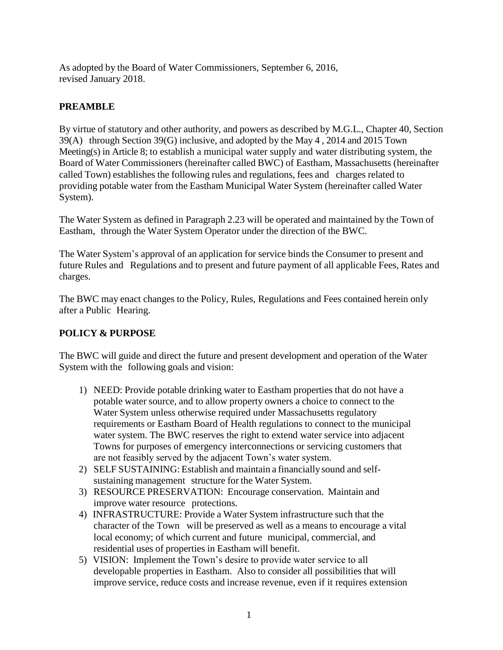As adopted by the Board of Water Commissioners, September 6, 2016, revised January 2018.

## **PREAMBLE**

By virtue of statutory and other authority, and powers as described by M.G.L., Chapter 40, Section 39(A) through Section 39(G) inclusive, and adopted by the May 4 , 2014 and 2015 Town Meeting(s) in Article 8; to establish a municipal water supply and water distributing system, the Board of Water Commissioners (hereinafter called BWC) of Eastham, Massachusetts (hereinafter called Town) establishes the following rules and regulations, fees and charges related to providing potable water from the Eastham Municipal Water System (hereinafter called Water System).

The Water System as defined in Paragraph 2.23 will be operated and maintained by the Town of Eastham, through the Water System Operator under the direction of the BWC.

The Water System's approval of an application for service binds the Consumer to present and future Rules and Regulations and to present and future payment of all applicable Fees, Rates and charges.

The BWC may enact changes to the Policy, Rules, Regulations and Fees contained herein only after a Public Hearing.

# **POLICY & PURPOSE**

The BWC will guide and direct the future and present development and operation of the Water System with the following goals and vision:

- 1) NEED: Provide potable drinking water to Eastham properties that do not have a potable water source, and to allow property owners a choice to connect to the Water System unless otherwise required under Massachusetts regulatory requirements or Eastham Board of Health regulations to connect to the municipal water system. The BWC reserves the right to extend water service into adjacent Towns for purposes of emergency interconnections or servicing customers that are not feasibly served by the adjacent Town's water system.
- 2) SELF SUSTAINING: Establish and maintain a financially sound and selfsustaining management structure for the Water System.
- 3) RESOURCE PRESERVATION: Encourage conservation. Maintain and improve water resource protections.
- 4) INFRASTRUCTURE: Provide a Water System infrastructure such that the character of the Town will be preserved as well as a means to encourage a vital local economy; of which current and future municipal, commercial, and residential uses of properties in Eastham will benefit.
- 5) VISION: Implement the Town's desire to provide water service to all developable properties in Eastham. Also to consider all possibilities that will improve service, reduce costs and increase revenue, even if it requires extension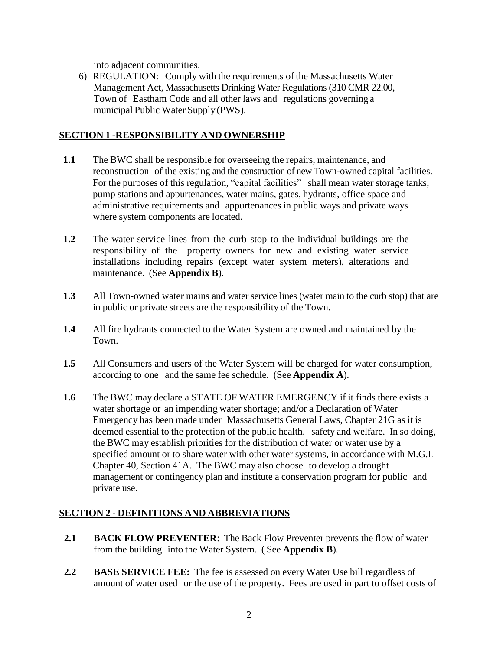into adjacent communities.

6) REGULATION: Comply with the requirements of the Massachusetts Water Management Act, Massachusetts Drinking Water Regulations (310 CMR 22.00, Town of Eastham Code and all other laws and regulations governing a municipal Public Water Supply (PWS).

#### **SECTION 1 -RESPONSIBILITY AND OWNERSHIP**

- **1.1** The BWC shall be responsible for overseeing the repairs, maintenance, and reconstruction of the existing and the construction of new Town-owned capital facilities. For the purposes of this regulation, "capital facilities" shall mean water storage tanks, pump stations and appurtenances, water mains, gates, hydrants, office space and administrative requirements and appurtenances in public ways and private ways where system components are located.
- **1.2** The water service lines from the curb stop to the individual buildings are the responsibility of the property owners for new and existing water service installations including repairs (except water system meters), alterations and maintenance. (See **Appendix B**).
- **1.3** All Town-owned water mains and water service lines (water main to the curb stop) that are in public or private streets are the responsibility of the Town.
- **1.4** All fire hydrants connected to the Water System are owned and maintained by the Town.
- **1.5** All Consumers and users of the Water System will be charged for water consumption, according to one and the same fee schedule. (See **Appendix A**).
- **1.6** The BWC may declare a STATE OF WATER EMERGENCY if it finds there exists a water shortage or an impending water shortage; and/or a Declaration of Water Emergency has been made under Massachusetts General Laws, Chapter 21G as it is deemed essential to the protection of the public health, safety and welfare. In so doing, the BWC may establish priorities for the distribution of water or water use by a specified amount or to share water with other water systems, in accordance with M.G.L Chapter 40, Section 41A. The BWC may also choose to develop a drought management or contingency plan and institute a conservation program for public and private use.

## **SECTION 2 - DEFINITIONS AND ABBREVIATIONS**

- **2.1 BACK FLOW PREVENTER**: The Back Flow Preventer prevents the flow of water from the building into the Water System. ( See **Appendix B**).
- **2.2 BASE SERVICE FEE:** The fee is assessed on every Water Use bill regardless of amount of water used or the use of the property. Fees are used in part to offset costs of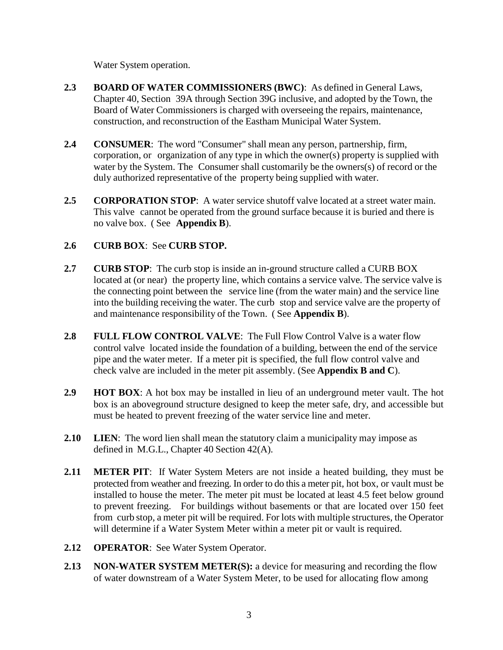Water System operation.

- **2.3 BOARD OF WATER COMMISSIONERS (BWC)**: As defined in General Laws, Chapter 40, Section 39A through Section 39G inclusive, and adopted by the Town, the Board of Water Commissioners is charged with overseeing the repairs, maintenance, construction, and reconstruction of the Eastham Municipal Water System.
- **2.4 CONSUMER**: The word "Consumer" shall mean any person, partnership, firm, corporation, or organization of any type in which the owner(s) property is supplied with water by the System. The Consumer shall customarily be the owners(s) of record or the duly authorized representative of the property being supplied with water.
- **2.5 CORPORATION STOP**: A water service shutoff valve located at a street water main. This valve cannot be operated from the ground surface because it is buried and there is no valve box. ( See **Appendix B**).

## **2.6 CURB BOX**: See **CURB STOP.**

- **2.7 CURB STOP**: The curb stop is inside an in-ground structure called a CURB BOX located at (or near) the property line, which contains a service valve. The service valve is the connecting point between the service line (from the water main) and the service line into the building receiving the water. The curb stop and service valve are the property of and maintenance responsibility of the Town. ( See **Appendix B**).
- **2.8 FULL FLOW CONTROL VALVE**: The Full Flow Control Valve is a water flow control valve located inside the foundation of a building, between the end of the service pipe and the water meter. If a meter pit is specified, the full flow control valve and check valve are included in the meter pit assembly. (See **Appendix B and C**).
- **2.9 HOT BOX**: A hot box may be installed in lieu of an underground meter vault. The hot box is an aboveground structure designed to keep the meter safe, dry, and accessible but must be heated to prevent freezing of the water service line and meter.
- **2.10 LIEN**: The word lien shall mean the statutory claim a municipality may impose as defined in M.G.L., Chapter 40 Section 42(A).
- **2.11 METER PIT**: If Water System Meters are not inside a heated building, they must be protected from weather and freezing. In order to do this a meter pit, hot box, or vault must be installed to house the meter. The meter pit must be located at least 4.5 feet below ground to prevent freezing. For buildings without basements or that are located over 150 feet from curb stop, a meter pit will be required. For lots with multiple structures, the Operator will determine if a Water System Meter within a meter pit or vault is required.
- **2.12 OPERATOR**: See Water System Operator.
- **2.13 NON-WATER SYSTEM METER(S):** a device for measuring and recording the flow of water downstream of a Water System Meter, to be used for allocating flow among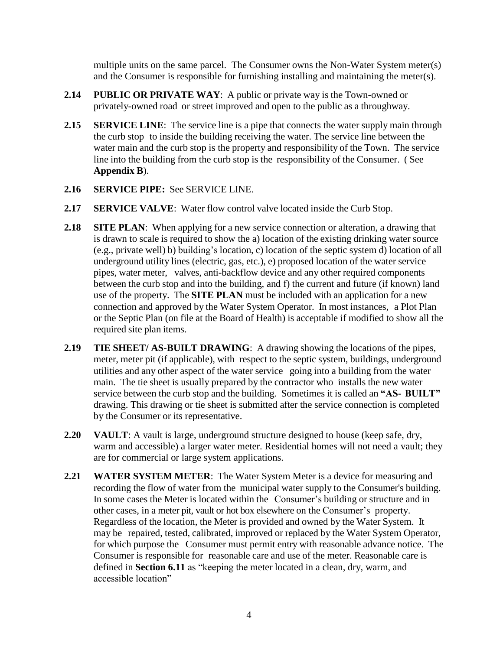multiple units on the same parcel. The Consumer owns the Non-Water System meter(s) and the Consumer is responsible for furnishing installing and maintaining the meter(s).

- **2.14 PUBLIC OR PRIVATE WAY**: A public or private way is the Town-owned or privately-owned road or street improved and open to the public as a throughway.
- **2.15 SERVICE LINE:** The service line is a pipe that connects the water supply main through the curb stop to inside the building receiving the water. The service line between the water main and the curb stop is the property and responsibility of the Town. The service line into the building from the curb stop is the responsibility of the Consumer. ( See **Appendix B**).
- **2.16 SERVICE PIPE:** See SERVICE LINE.
- **2.17 SERVICE VALVE**: Water flow control valve located inside the Curb Stop.
- **2.18 SITE PLAN**: When applying for a new service connection or alteration, a drawing that is drawn to scale is required to show the a) location of the existing drinking water source (e.g., private well) b) building's location, c) location of the septic system d) location of all underground utility lines (electric, gas, etc.), e) proposed location of the water service pipes, water meter, valves, anti-backflow device and any other required components between the curb stop and into the building, and f) the current and future (if known) land use of the property. The **SITE PLAN** must be included with an application for a new connection and approved by the Water System Operator. In most instances, a Plot Plan or the Septic Plan (on file at the Board of Health) is acceptable if modified to show all the required site plan items.
- **2.19 TIE SHEET/ AS-BUILT DRAWING**: A drawing showing the locations of the pipes, meter, meter pit (if applicable), with respect to the septic system, buildings, underground utilities and any other aspect of the water service going into a building from the water main. The tie sheet is usually prepared by the contractor who installs the new water service between the curb stop and the building. Sometimes it is called an **"AS- BUILT"** drawing. This drawing or tie sheet is submitted after the service connection is completed by the Consumer or its representative.
- **2.20 VAULT**: A vault is large, underground structure designed to house (keep safe, dry, warm and accessible) a larger water meter. Residential homes will not need a vault; they are for commercial or large system applications.
- **2.21 WATER SYSTEM METER**: The Water System Meter is a device for measuring and recording the flow of water from the municipal water supply to the Consumer's building. In some cases the Meter is located within the Consumer's building or structure and in other cases, in a meter pit, vault or hot box elsewhere on the Consumer's property. Regardless of the location, the Meter is provided and owned by the Water System. It may be repaired, tested, calibrated, improved or replaced by the Water System Operator, for which purpose the Consumer must permit entry with reasonable advance notice. The Consumer is responsible for reasonable care and use of the meter. Reasonable care is defined in **Section 6.11** as "keeping the meter located in a clean, dry, warm, and accessible location"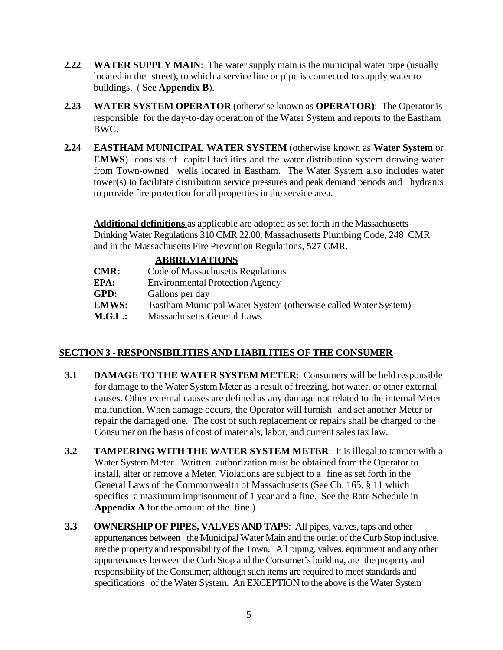- **2.22 WATER SUPPLY MAIN**: The water supply main is the municipal water pipe (usually located in the street), to which a service line or pipe is connected to supply water to buildings. ( See **Appendix B**).
- **2.23 WATER SYSTEM OPERATOR** (otherwise known as **OPERATOR)**: The Operator is responsible for the day-to-day operation of the Water System and reports to the Eastham BWC.
- **2.24 EASTHAM MUNICIPAL WATER SYSTEM** (otherwise known as **Water System** or **EMWS**) consists of capital facilities and the water distribution system drawing water from Town-owned wells located in Eastham. The Water System also includes water tower(s) to facilitate distribution service pressures and peak demand periods and hydrants to provide fire protection for all properties in the service area.

**Additional definitions** as applicable are adopted as set forth in the Massachusetts Drinking Water Regulations 310 CMR 22.00, Massachusetts Plumbing Code, 248 CMR and in the Massachusetts Fire Prevention Regulations, 527 CMR.

## **ABBREVIATIONS**

| Code of Massachusetts Regulations                              |
|----------------------------------------------------------------|
| <b>Environmental Protection Agency</b>                         |
| Gallons per day                                                |
| Eastham Municipal Water System (otherwise called Water System) |
| <b>Massachusetts General Laws</b>                              |
|                                                                |

# **SECTION 3 -RESPONSIBILITIES AND LIABILITIES OF THE CONSUMER**

- **3.1 DAMAGE TO THE WATER SYSTEM METER**: Consumers will be held responsible for damage to the Water System Meter as a result of freezing, hot water, or other external causes. Other external causes are defined as any damage not related to the internal Meter malfunction. When damage occurs, the Operator will furnish and set another Meter or repair the damaged one. The cost of such replacement or repairs shall be charged to the Consumer on the basis of cost of materials, labor, and current sales tax law.
- **3.2 TAMPERING WITH THE WATER SYSTEM METER**: It is illegal to tamper with a Water System Meter. Written authorization must be obtained from the Operator to install, alter or remove a Meter. Violations are subject to a fine as set forth in the General Laws of the Commonwealth of Massachusetts (See Ch. 165, § 11 which specifies a maximum imprisonment of 1 year and a fine. See the Rate Schedule in **Appendix A** for the amount of the fine.)
- **3.3 OWNERSHIP OF PIPES, VALVES AND TAPS**: All pipes, valves, taps and other appurtenances between the Municipal Water Main and the outlet of the Curb Stop inclusive, are the property and responsibility of the Town. All piping, valves, equipment and any other appurtenances between the Curb Stop and the Consumer's building, are the property and responsibility of the Consumer; although such items are required to meet standards and specifications of the Water System. An EXCEPTION to the above is the Water System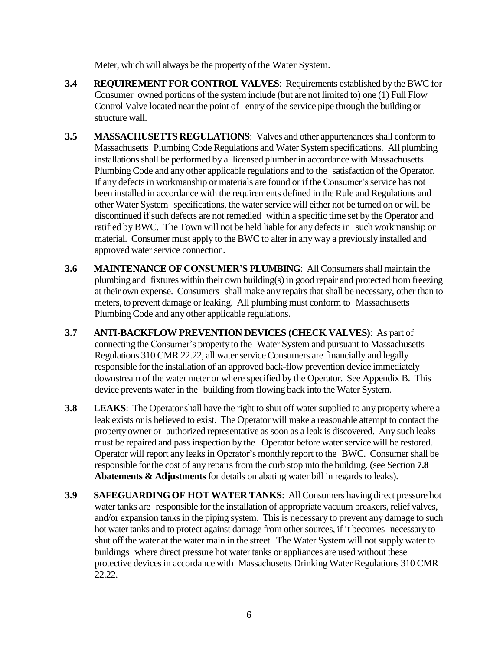Meter, which will always be the property of the Water System.

- **3.4 REQUIREMENT FOR CONTROL VALVES**: Requirements established by the BWC for Consumer owned portions of the system include (but are not limited to) one (1) Full Flow Control Valve located near the point of entry of the service pipe through the building or structure wall.
- **3.5 MASSACHUSETTS REGULATIONS:** Valves and other appurtenances shall conform to Massachusetts Plumbing Code Regulations and Water System specifications. All plumbing installationsshall be performed by a licensed plumber in accordance with Massachusetts Plumbing Code and any other applicable regulations and to the satisfaction of the Operator. If any defects in workmanship or materials are found or if the Consumer's service has not been installed in accordance with the requirements defined in the Rule and Regulations and other Water System specifications, the water service will either not be turned on or will be discontinued ifsuch defects are not remedied within a specific time set by the Operator and ratified by BWC. The Town will not be held liable for any defectsin such workmanship or material. Consumer must apply to the BWC to alter in any way a previously installed and approved water service connection.
- **3.6 MAINTENANCE OF CONSUMER'S PLUMBING**: All Consumersshall maintain the plumbing and fixtures within their own building(s) in good repair and protected from freezing at their own expense. Consumers shall make any repairsthat shall be necessary, other than to meters, to prevent damage or leaking. All plumbing must conform to Massachusetts Plumbing Code and any other applicable regulations.
- **3.7 ANTI-BACKFLOW PREVENTION DEVICES (CHECK VALVES)**: As part of connecting the Consumer's property to the Water System and pursuant to Massachusetts Regulations 310 CMR 22.22, all water service Consumers are financially and legally responsible for the installation of an approved back-flow prevention device immediately downstream of the water meter or where specified by the Operator. See Appendix B. This device prevents water in the building from flowing back into the Water System.
- **3.8** LEAKS: The Operator shall have the right to shut off water supplied to any property where a leak exists or is believed to exist. The Operator will make a reasonable attempt to contact the property owner or authorized representative as soon as a leak is discovered. Any such leaks must be repaired and pass inspection by the Operator before water service will be restored. Operator will report any leaks in Operator's monthly report to the BWC. Consumer shall be responsible for the cost of any repairs from the curb stop into the building. (see Section **7.8 Abatements & Adjustments** for details on abating water bill in regards to leaks).
- **3.9 SAFEGUARDINGOF HOT WATER TANKS**: All Consumers having direct pressure hot water tanks are responsible for the installation of appropriate vacuum breakers, relief valves, and/or expansion tanks in the piping system. This is necessary to prevent any damage to such hot water tanks and to protect against damage from other sources, if it becomes necessary to shut off the water at the water main in the street. The Water System will not supply water to buildings where direct pressure hot water tanks or appliances are used without these protective devicesin accordance with Massachusetts Drinking Water Regulations 310 CMR 22.22.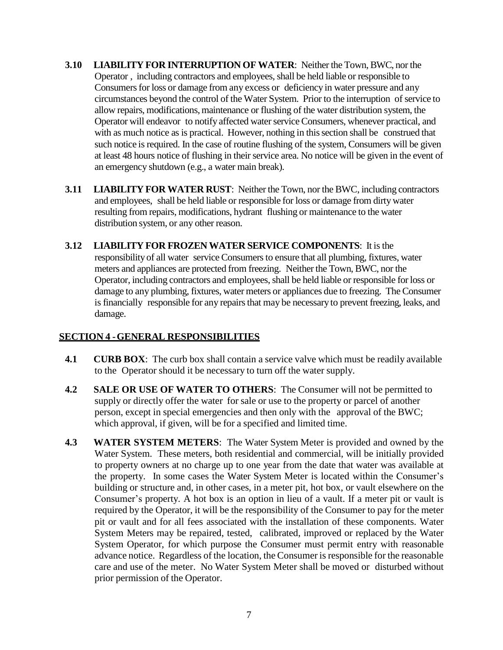- **3.10 LIABILITY FOR INTERRUPTION OF WATER**: Neither the Town, BWC, nor the Operator, including contractors and employees, shall be held liable or responsible to Consumers for loss or damage from any excess or deficiency in water pressure and any circumstances beyond the control of the Water System. Prior to the interruption of service to allow repairs, modifications,maintenance or flushing of the water distribution system, the Operator will endeavor to notify affected water service Consumers, whenever practical, and with as much notice as is practical. However, nothing in this section shall be construed that such notice is required. In the case of routine flushing of the system, Consumers will be given at least 48 hours notice of flushing in their service area. No notice will be given in the event of an emergency shutdown (e.g., a water main break).
- **3.11 LIABILITY FOR WATER RUST**: Neither the Town, nor the BWC, including contractors and employees, shall be held liable or responsible for loss or damage from dirty water resulting from repairs, modifications, hydrant flushing or maintenance to the water distribution system, or any other reason.
- **3.12 LIABILITY FOR FROZEN WATER SERVICE COMPONENTS**: It isthe responsibility of all water service Consumers to ensure that all plumbing, fixtures, water meters and appliances are protected from freezing. Neither the Town, BWC, nor the Operator, including contractors and employees, shall be held liable or responsible for loss or damage to any plumbing, fixtures, water meters or appliances due to freezing. The Consumer is financially responsible for any repairs that may be necessary to prevent freezing, leaks, and damage.

## **SECTION 4 -GENERAL RESPONSIBILITIES**

- **4.1 CURB BOX**: The curb box shall contain a service valve which must be readily available to the Operator should it be necessary to turn off the water supply.
- **4.2 SALE OR USE OF WATER TO OTHERS**: The Consumer will not be permitted to supply or directly offer the water for sale or use to the property or parcel of another person, except in special emergencies and then only with the approval of the BWC; which approval, if given, will be for a specified and limited time.
- **4.3 WATER SYSTEM METERS**: The Water System Meter is provided and owned by the Water System. These meters, both residential and commercial, will be initially provided to property owners at no charge up to one year from the date that water was available at the property. In some cases the Water System Meter is located within the Consumer's building or structure and, in other cases, in a meter pit, hot box, or vault elsewhere on the Consumer's property. A hot box is an option in lieu of a vault. If a meter pit or vault is required by the Operator, it will be the responsibility of the Consumer to pay for the meter pit or vault and for all fees associated with the installation of these components. Water System Meters may be repaired, tested, calibrated, improved or replaced by the Water System Operator, for which purpose the Consumer must permit entry with reasonable advance notice. Regardless of the location, the Consumer is responsible for the reasonable care and use of the meter. No Water System Meter shall be moved or disturbed without prior permission of the Operator.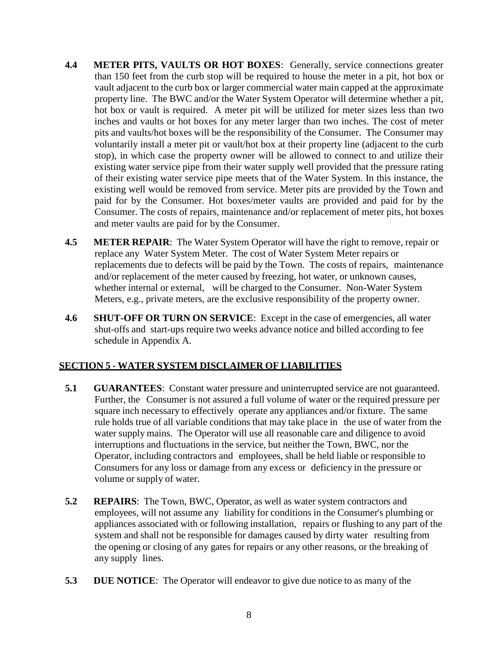- **4.4 METER PITS, VAULTS OR HOT BOXES**: Generally, service connections greater than 150 feet from the curb stop will be required to house the meter in a pit, hot box or vault adjacent to the curb box or larger commercial water main capped at the approximate property line. The BWC and/or the Water System Operator will determine whether a pit, hot box or vault is required. A meter pit will be utilized for meter sizes less than two inches and vaults or hot boxes for any meter larger than two inches. The cost of meter pits and vaults/hot boxes will be the responsibility of the Consumer. The Consumer may voluntarily install a meter pit or vault/hot box at their property line (adjacent to the curb stop), in which case the property owner will be allowed to connect to and utilize their existing water service pipe from their water supply well provided that the pressure rating of their existing water service pipe meets that of the Water System. In this instance, the existing well would be removed from service. Meter pits are provided by the Town and paid for by the Consumer. Hot boxes/meter vaults are provided and paid for by the Consumer. The costs of repairs, maintenance and/or replacement of meter pits, hot boxes and meter vaults are paid for by the Consumer.
- **4.5 METER REPAIR**: The Water System Operator will have the right to remove, repair or replace any Water System Meter. The cost of Water System Meter repairs or replacements due to defects will be paid by the Town. The costs of repairs, maintenance and/or replacement of the meter caused by freezing, hot water, or unknown causes, whether internal or external, will be charged to the Consumer. Non-Water System Meters, e.g., private meters, are the exclusive responsibility of the property owner.
- **4.6 SHUT-OFF OR TURN ON SERVICE**: Except in the case of emergencies, all water shut-offs and start-ups require two weeks advance notice and billed according to fee schedule in Appendix A.

## **SECTION 5 - WATER SYSTEM DISCLAIMER OF LIABILITIES**

- **5.1 GUARANTEES**: Constant water pressure and uninterrupted service are not guaranteed. Further, the Consumer is not assured a full volume of water or the required pressure per square inch necessary to effectively operate any appliances and/or fixture. The same rule holds true of all variable conditions that may take place in the use of water from the water supply mains. The Operator will use all reasonable care and diligence to avoid interruptions and fluctuations in the service, but neither the Town, BWC, nor the Operator, including contractors and employees, shall be held liable or responsible to Consumers for any loss or damage from any excess or deficiency in the pressure or volume or supply of water.
- **5.2 REPAIRS**: The Town, BWC, Operator, as well as water system contractors and employees, will not assume any liability for conditions in the Consumer's plumbing or appliances associated with or following installation, repairs or flushing to any part of the system and shall not be responsible for damages caused by dirty water resulting from the opening or closing of any gates for repairs or any other reasons, or the breaking of any supply lines.
- **5.3 DUE NOTICE**: The Operator will endeavor to give due notice to as many of the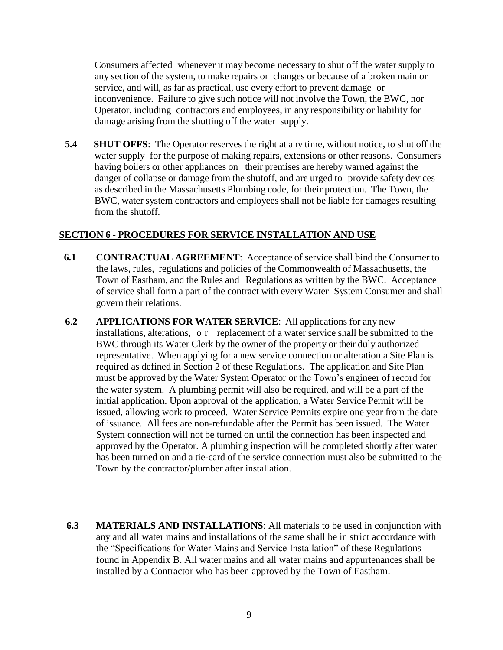Consumers affected whenever it may become necessary to shut off the water supply to any section of the system, to make repairs or changes or because of a broken main or service, and will, as far as practical, use every effort to prevent damage or inconvenience. Failure to give such notice will not involve the Town, the BWC, nor Operator, including contractors and employees, in any responsibility or liability for damage arising from the shutting off the water supply.

**5.4 SHUT OFFS**: The Operator reserves the right at any time, without notice, to shut off the water supply for the purpose of making repairs, extensions or other reasons. Consumers having boilers or other appliances on their premises are hereby warned against the danger of collapse or damage from the shutoff, and are urged to provide safety devices as described in the Massachusetts Plumbing code, for their protection. The Town, the BWC, water system contractors and employees shall not be liable for damages resulting from the shutoff.

### **SECTION 6 - PROCEDURES FOR SERVICE INSTALLATION AND USE**

- **6.1 CONTRACTUAL AGREEMENT**: Acceptance of service shall bind the Consumer to the laws, rules, regulations and policies of the Commonwealth of Massachusetts, the Town of Eastham, and the Rules and Regulations as written by the BWC. Acceptance of service shall form a part of the contract with every Water System Consumer and shall govern their relations.
- **6**.**2 APPLICATIONS FOR WATER SERVICE**: All applications for any new installations, alterations, o r replacement of a water service shall be submitted to the BWC through its Water Clerk by the owner of the property or their duly authorized representative. When applying for a new service connection or alteration a Site Plan is required as defined in Section 2 of these Regulations. The application and Site Plan must be approved by the Water System Operator or the Town's engineer of record for the water system. A plumbing permit will also be required, and will be a part of the initial application. Upon approval of the application, a Water Service Permit will be issued, allowing work to proceed. Water Service Permits expire one year from the date of issuance. All fees are non-refundable after the Permit has been issued. The Water System connection will not be turned on until the connection has been inspected and approved by the Operator. A plumbing inspection will be completed shortly after water has been turned on and a tie-card of the service connection must also be submitted to the Town by the contractor/plumber after installation.
- **6.3 MATERIALS AND INSTALLATIONS**: All materials to be used in conjunction with any and all water mains and installations of the same shall be in strict accordance with the "Specifications for Water Mains and Service Installation" of these Regulations found in Appendix B. All water mains and all water mains and appurtenances shall be installed by a Contractor who has been approved by the Town of Eastham.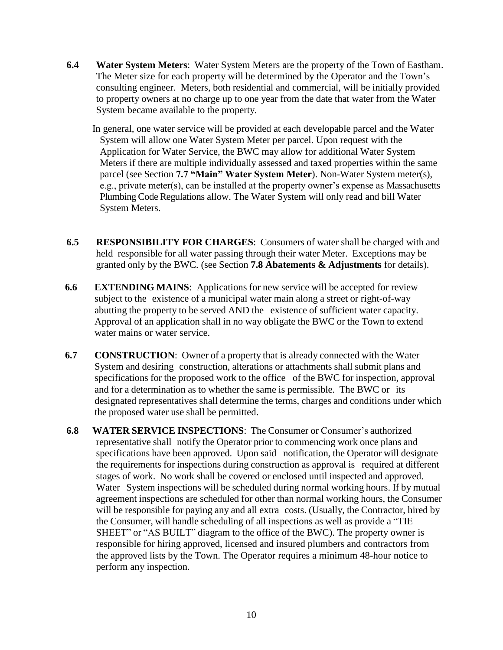- **6.4 Water System Meters**: Water System Meters are the property of the Town of Eastham. The Meter size for each property will be determined by the Operator and the Town's consulting engineer. Meters, both residential and commercial, will be initially provided to property owners at no charge up to one year from the date that water from the Water System became available to the property.
	- In general, one water service will be provided at each developable parcel and the Water System will allow one Water System Meter per parcel. Upon request with the Application for Water Service, the BWC may allow for additional Water System Meters if there are multiple individually assessed and taxed properties within the same parcel (see Section **7.7 "Main" Water System Meter**). Non-Water System meter(s), e.g., private meter(s), can be installed at the property owner's expense as Massachusetts Plumbing Code Regulations allow. The Water System will only read and bill Water System Meters.
- **6.5 RESPONSIBILITY FOR CHARGES**: Consumers of water shall be charged with and held responsible for all water passing through their water Meter. Exceptions may be granted only by the BWC. (see Section **7.8 Abatements & Adjustments** for details).
- **6.6 EXTENDING MAINS**: Applications for new service will be accepted for review subject to the existence of a municipal water main along a street or right-of-way abutting the property to be served AND the existence of sufficient water capacity. Approval of an application shall in no way obligate the BWC or the Town to extend water mains or water service.
- **6.7 CONSTRUCTION**: Owner of a property that is already connected with the Water System and desiring construction, alterations or attachments shall submit plans and specifications for the proposed work to the office of the BWC for inspection, approval and for a determination as to whether the same is permissible. The BWC or its designated representatives shall determine the terms, charges and conditions under which the proposed water use shall be permitted.
- **6.8 WATER SERVICE INSPECTIONS**: The Consumer or Consumer's authorized representative shall notify the Operator prior to commencing work once plans and specifications have been approved. Upon said notification, the Operator will designate the requirements for inspections during construction as approval is required at different stages of work. No work shall be covered or enclosed until inspected and approved. Water System inspections will be scheduled during normal working hours. If by mutual agreement inspections are scheduled for other than normal working hours, the Consumer will be responsible for paying any and all extra costs. (Usually, the Contractor, hired by the Consumer, will handle scheduling of all inspections as well as provide a "TIE SHEET" or "AS BUILT" diagram to the office of the BWC). The property owner is responsible for hiring approved, licensed and insured plumbers and contractors from the approved lists by the Town. The Operator requires a minimum 48-hour notice to perform any inspection.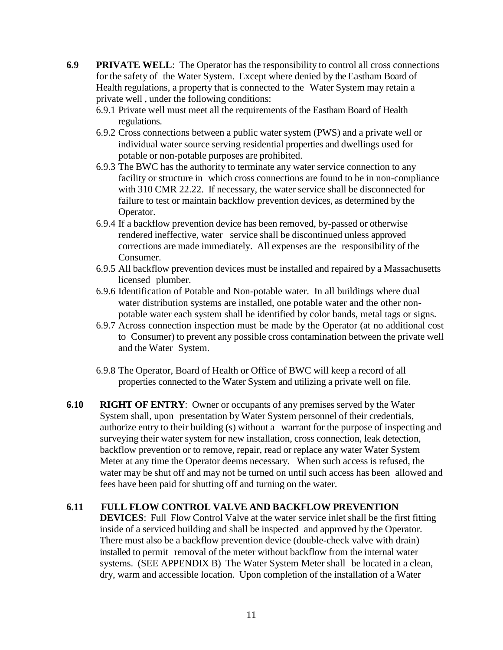- **6.9 PRIVATE WELL**: The Operator has the responsibility to control all cross connections for the safety of the Water System. Except where denied by the Eastham Board of Health regulations, a property that is connected to the Water System may retain a private well , under the following conditions:
	- 6.9.1 Private well must meet all the requirements of the Eastham Board of Health regulations.
	- 6.9.2 Cross connections between a public water system (PWS) and a private well or individual water source serving residential properties and dwellings used for potable or non-potable purposes are prohibited.
	- 6.9.3 The BWC has the authority to terminate any water service connection to any facility or structure in which cross connections are found to be in non-compliance with 310 CMR 22.22. If necessary, the water service shall be disconnected for failure to test or maintain backflow prevention devices, as determined by the Operator.
	- 6.9.4 If a backflow prevention device has been removed, by-passed or otherwise rendered ineffective, water service shall be discontinued unless approved corrections are made immediately. All expenses are the responsibility of the Consumer.
	- 6.9.5 All backflow prevention devices must be installed and repaired by a Massachusetts licensed plumber.
	- 6.9.6 Identification of Potable and Non-potable water. In all buildings where dual water distribution systems are installed, one potable water and the other nonpotable water each system shall be identified by color bands, metal tags or signs.
	- 6.9.7 Across connection inspection must be made by the Operator (at no additional cost to Consumer) to prevent any possible cross contamination between the private well and the Water System.
	- 6.9.8 The Operator, Board of Health or Office of BWC will keep a record of all properties connected to the Water System and utilizing a private well on file.
- **6.10 RIGHT OF ENTRY**: Owner or occupants of any premises served by the Water System shall, upon presentation by Water System personnel of their credentials, authorize entry to their building (s) without a warrant for the purpose of inspecting and surveying their water system for new installation, cross connection, leak detection, backflow prevention or to remove, repair, read or replace any water Water System Meter at any time the Operator deems necessary. When such access is refused, the water may be shut off and may not be turned on until such access has been allowed and fees have been paid for shutting off and turning on the water.

## **6.11 FULL FLOW CONTROL VALVE AND BACKFLOW PREVENTION**

**DEVICES**: Full Flow Control Valve at the water service inlet shall be the first fitting inside of a serviced building and shall be inspected and approved by the Operator. There must also be a backflow prevention device (double-check valve with drain) installed to permit removal of the meter without backflow from the internal water systems. (SEE APPENDIX B) The Water System Meter shall be located in a clean, dry, warm and accessible location. Upon completion of the installation of a Water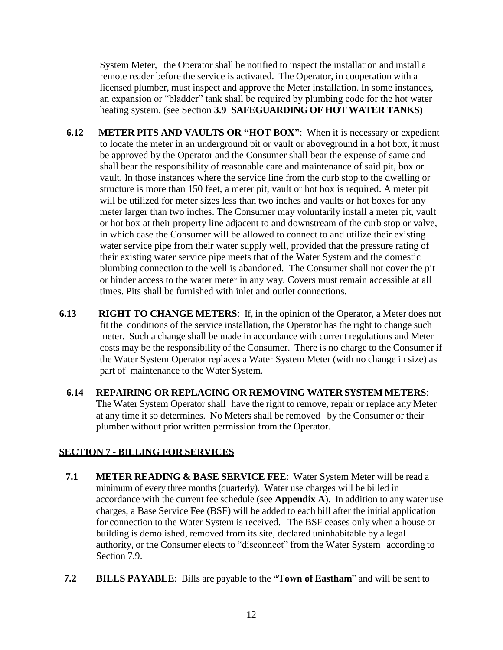System Meter, the Operator shall be notified to inspect the installation and install a remote reader before the service is activated. The Operator, in cooperation with a licensed plumber, must inspect and approve the Meter installation. In some instances, an expansion or "bladder" tank shall be required by plumbing code for the hot water heating system. (see Section **3.9 SAFEGUARDINGOF HOT WATER TANKS)**

- **6.12 METER PITS AND VAULTS OR "HOT BOX"**: When it is necessary or expedient to locate the meter in an underground pit or vault or aboveground in a hot box, it must be approved by the Operator and the Consumer shall bear the expense of same and shall bear the responsibility of reasonable care and maintenance of said pit, box or vault. In those instances where the service line from the curb stop to the dwelling or structure is more than 150 feet, a meter pit, vault or hot box is required. A meter pit will be utilized for meter sizes less than two inches and vaults or hot boxes for any meter larger than two inches. The Consumer may voluntarily install a meter pit, vault or hot box at their property line adjacent to and downstream of the curb stop or valve, in which case the Consumer will be allowed to connect to and utilize their existing water service pipe from their water supply well, provided that the pressure rating of their existing water service pipe meets that of the Water System and the domestic plumbing connection to the well is abandoned. The Consumer shall not cover the pit or hinder access to the water meter in any way. Covers must remain accessible at all times. Pits shall be furnished with inlet and outlet connections.
- **6.13 RIGHT TO CHANGE METERS**: If, in the opinion of the Operator, a Meter does not fit the conditions of the service installation, the Operator has the right to change such meter. Such a change shall be made in accordance with current regulations and Meter costs may be the responsibility of the Consumer. There is no charge to the Consumer if the Water System Operator replaces a Water System Meter (with no change in size) as part of maintenance to the Water System.
	- **6.14 REPAIRING OR REPLACING OR REMOVING WATER SYSTEM METERS**: The Water System Operator shall have the right to remove, repair or replace any Meter at any time it so determines. No Meters shall be removed by the Consumer or their plumber without prior written permission from the Operator.

# **SECTION 7 - BILLING FOR SERVICES**

- **7.1 METER READING & BASE SERVICE FEE**: Water System Meter will be read a minimum of every three months (quarterly). Water use charges will be billed in accordance with the current fee schedule (see **Appendix A**). In addition to any water use charges, a Base Service Fee (BSF) will be added to each bill after the initial application for connection to the Water System is received. The BSF ceases only when a house or building is demolished, removed from its site, declared uninhabitable by a legal authority, or the Consumer elects to "disconnect" from the Water System according to Section 7.9.
- **7.2 BILLS PAYABLE**: Bills are payable to the **"Town of Eastham**" and will be sent to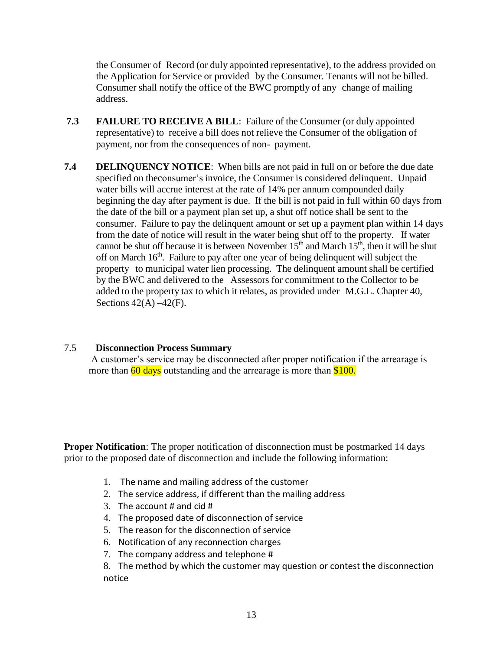the Consumer of Record (or duly appointed representative), to the address provided on the Application for Service or provided by the Consumer. Tenants will not be billed. Consumer shall notify the office of the BWC promptly of any change of mailing address.

- **7.3 FAILURE TO RECEIVE A BILL**: Failure of the Consumer (or duly appointed representative) to receive a bill does not relieve the Consumer of the obligation of payment, nor from the consequences of non- payment.
- **7.4 DELINQUENCY NOTICE**: When bills are not paid in full on or before the due date specified on theconsumer's invoice, the Consumer is considered delinquent. Unpaid water bills will accrue interest at the rate of 14% per annum compounded daily beginning the day after payment is due. If the bill is not paid in full within 60 days from the date of the bill or a payment plan set up, a shut off notice shall be sent to the consumer. Failure to pay the delinquent amount or set up a payment plan within 14 days from the date of notice will result in the water being shut off to the property. If water cannot be shut off because it is between November 15<sup>th</sup> and March 15<sup>th</sup>, then it will be shut off on March 16<sup>th</sup>. Failure to pay after one year of being delinquent will subject the property to municipal water lien processing. The delinquent amount shall be certified by the BWC and delivered to the Assessors for commitment to the Collector to be added to the property tax to which it relates, as provided under M.G.L. Chapter 40, Sections  $42(A) - 42(F)$ .

#### 7.5 **Disconnection Process Summary**

A customer's service may be disconnected after proper notification if the arrearage is more than  $\frac{60 \text{ days}}{8100}$  outstanding and the arrearage is more than  $\frac{$100}{8100}$ .

**Proper Notification**: The proper notification of disconnection must be postmarked 14 days prior to the proposed date of disconnection and include the following information:

- 1. The name and mailing address of the customer
- 2. The service address, if different than the mailing address
- 3. The account  $#$  and cid  $#$
- 4. The proposed date of disconnection of service
- 5. The reason for the disconnection of service
- 6. Notification of any reconnection charges
- 7. The company address and telephone #
- 8. The method by which the customer may question or contest the disconnection notice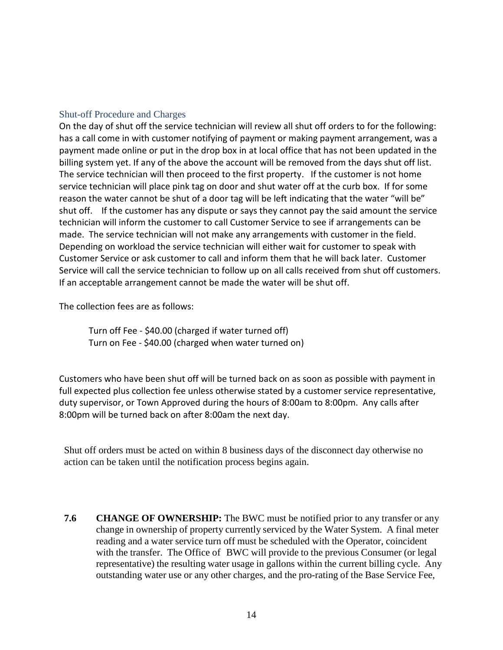#### Shut-off Procedure and Charges

On the day of shut off the service technician will review all shut off orders to for the following: has a call come in with customer notifying of payment or making payment arrangement, was a payment made online or put in the drop box in at local office that has not been updated in the billing system yet. If any of the above the account will be removed from the days shut off list. The service technician will then proceed to the first property. If the customer is not home service technician will place pink tag on door and shut water off at the curb box. If for some reason the water cannot be shut of a door tag will be left indicating that the water "will be" shut off. If the customer has any dispute or says they cannot pay the said amount the service technician will inform the customer to call Customer Service to see if arrangements can be made. The service technician will not make any arrangements with customer in the field. Depending on workload the service technician will either wait for customer to speak with Customer Service or ask customer to call and inform them that he will back later. Customer Service will call the service technician to follow up on all calls received from shut off customers. If an acceptable arrangement cannot be made the water will be shut off.

The collection fees are as follows:

Turn off Fee - \$40.00 (charged if water turned off) Turn on Fee - \$40.00 (charged when water turned on)

Customers who have been shut off will be turned back on as soon as possible with payment in full expected plus collection fee unless otherwise stated by a customer service representative, duty supervisor, or Town Approved during the hours of 8:00am to 8:00pm. Any calls after 8:00pm will be turned back on after 8:00am the next day.

Shut off orders must be acted on within 8 business days of the disconnect day otherwise no action can be taken until the notification process begins again.

**7.6 CHANGE OF OWNERSHIP:** The BWC must be notified prior to any transfer or any change in ownership of property currently serviced by the Water System. A final meter reading and a water service turn off must be scheduled with the Operator, coincident with the transfer. The Office of BWC will provide to the previous Consumer (or legal representative) the resulting water usage in gallons within the current billing cycle. Any outstanding water use or any other charges, and the pro-rating of the Base Service Fee,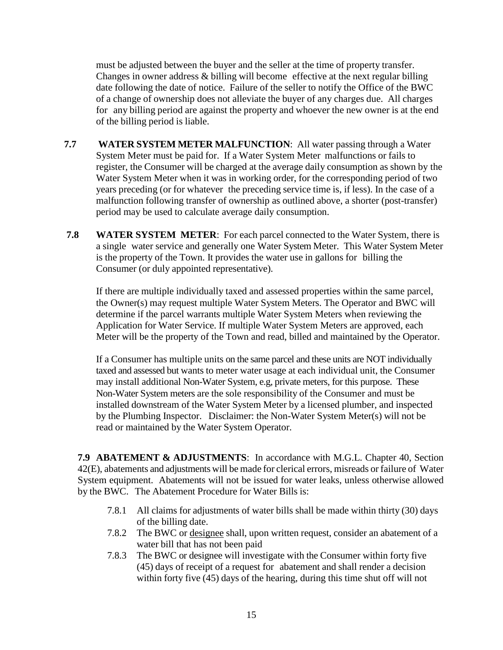must be adjusted between the buyer and the seller at the time of property transfer. Changes in owner address & billing will become effective at the next regular billing date following the date of notice. Failure of the seller to notify the Office of the BWC of a change of ownership does not alleviate the buyer of any charges due. All charges for any billing period are against the property and whoever the new owner is at the end of the billing period is liable.

- **7.7 WATER SYSTEM METER MALFUNCTION**: All water passing through a Water System Meter must be paid for. If a Water System Meter malfunctions or fails to register, the Consumer will be charged at the average daily consumption as shown by the Water System Meter when it was in working order, for the corresponding period of two years preceding (or for whatever the preceding service time is, if less). In the case of a malfunction following transfer of ownership as outlined above, a shorter (post-transfer) period may be used to calculate average daily consumption.
- **7.8 WATER SYSTEM METER**: For each parcel connected to the Water System, there is a single water service and generally one Water System Meter. This Water System Meter is the property of the Town. It provides the water use in gallons for billing the Consumer (or duly appointed representative).

If there are multiple individually taxed and assessed properties within the same parcel, the Owner(s) may request multiple Water System Meters. The Operator and BWC will determine if the parcel warrants multiple Water System Meters when reviewing the Application for Water Service. If multiple Water System Meters are approved, each Meter will be the property of the Town and read, billed and maintained by the Operator.

If a Consumer has multiple units on the same parcel and these units are NOT individually taxed and assessed but wants to meter water usage at each individual unit, the Consumer may install additional Non-Water System, e.g, private meters, for this purpose. These Non-Water System meters are the sole responsibility of the Consumer and must be installed downstream of the Water System Meter by a licensed plumber, and inspected by the Plumbing Inspector. Disclaimer: the Non-Water System Meter(s) will not be read or maintained by the Water System Operator.

**7.9 ABATEMENT & ADJUSTMENTS**: In accordance with M.G.L. Chapter 40, Section 42(E), abatements and adjustments will be made for clerical errors, misreads or failure of Water System equipment. Abatements will not be issued for water leaks, unless otherwise allowed by the BWC. The Abatement Procedure for Water Bills is:

- 7.8.1 All claims for adjustments of water bills shall be made within thirty (30) days of the billing date.
- 7.8.2 The BWC or designee shall, upon written request, consider an abatement of a water bill that has not been paid
- 7.8.3 The BWC or designee will investigate with the Consumer within forty five (45) days of receipt of a request for abatement and shall render a decision within forty five (45) days of the hearing, during this time shut off will not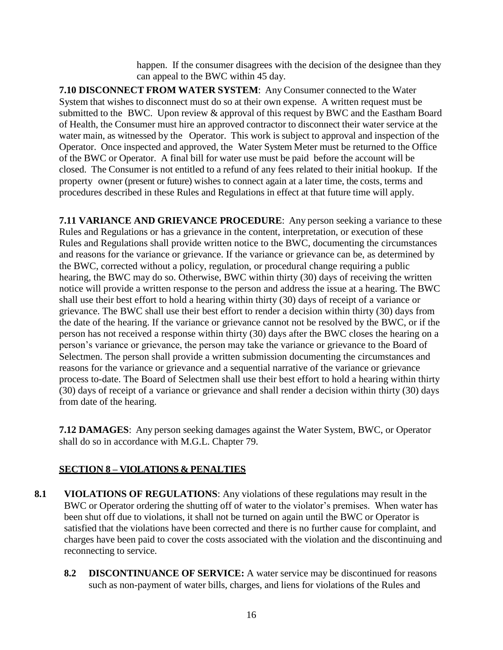happen. If the consumer disagrees with the decision of the designee than they can appeal to the BWC within 45 day.

**7.10 DISCONNECT FROM WATER SYSTEM**: Any Consumer connected to the Water System that wishes to disconnect must do so at their own expense. A written request must be submitted to the BWC. Upon review & approval of this request by BWC and the Eastham Board of Health, the Consumer must hire an approved contractor to disconnect their water service at the water main, as witnessed by the Operator. This work is subject to approval and inspection of the Operator. Once inspected and approved, the Water System Meter must be returned to the Office of the BWC or Operator. A final bill for water use must be paid before the account will be closed. The Consumer is not entitled to a refund of any fees related to their initial hookup. If the property owner (present or future) wishes to connect again at a later time, the costs, terms and procedures described in these Rules and Regulations in effect at that future time will apply.

**7.11 VARIANCE AND GRIEVANCE PROCEDURE**: Any person seeking a variance to these Rules and Regulations or has a grievance in the content, interpretation, or execution of these Rules and Regulations shall provide written notice to the BWC, documenting the circumstances and reasons for the variance or grievance. If the variance or grievance can be, as determined by the BWC, corrected without a policy, regulation, or procedural change requiring a public hearing, the BWC may do so. Otherwise, BWC within thirty (30) days of receiving the written notice will provide a written response to the person and address the issue at a hearing. The BWC shall use their best effort to hold a hearing within thirty (30) days of receipt of a variance or grievance. The BWC shall use their best effort to render a decision within thirty (30) days from the date of the hearing. If the variance or grievance cannot not be resolved by the BWC, or if the person has not received a response within thirty (30) days after the BWC closes the hearing on a person's variance or grievance, the person may take the variance or grievance to the Board of Selectmen. The person shall provide a written submission documenting the circumstances and reasons for the variance or grievance and a sequential narrative of the variance or grievance process to-date. The Board of Selectmen shall use their best effort to hold a hearing within thirty (30) days of receipt of a variance or grievance and shall render a decision within thirty (30) days from date of the hearing.

**7.12 DAMAGES**: Any person seeking damages against the Water System, BWC, or Operator shall do so in accordance with M.G.L. Chapter 79.

# **SECTION 8 – VIOLATIONS & PENALTIES**

- **8.1 VIOLATIONS OF REGULATIONS**: Any violations of these regulations may result in the BWC or Operator ordering the shutting off of water to the violator's premises. When water has been shut off due to violations, it shall not be turned on again until the BWC or Operator is satisfied that the violations have been corrected and there is no further cause for complaint, and charges have been paid to cover the costs associated with the violation and the discontinuing and reconnecting to service.
	- **8.2 DISCONTINUANCE OF SERVICE:** A water service may be discontinued for reasons such as non-payment of water bills, charges, and liens for violations of the Rules and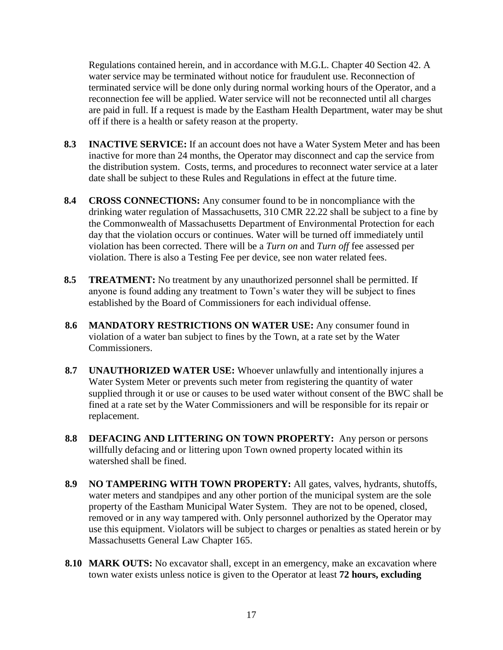Regulations contained herein, and in accordance with M.G.L. Chapter 40 Section 42. A water service may be terminated without notice for fraudulent use. Reconnection of terminated service will be done only during normal working hours of the Operator, and a reconnection fee will be applied. Water service will not be reconnected until all charges are paid in full. If a request is made by the Eastham Health Department, water may be shut off if there is a health or safety reason at the property.

- **8.3 INACTIVE SERVICE:** If an account does not have a Water System Meter and has been inactive for more than 24 months, the Operator may disconnect and cap the service from the distribution system. Costs, terms, and procedures to reconnect water service at a later date shall be subject to these Rules and Regulations in effect at the future time.
- **8.4 CROSS CONNECTIONS:** Any consumer found to be in noncompliance with the drinking water regulation of Massachusetts, 310 CMR 22.22 shall be subject to a fine by the Commonwealth of Massachusetts Department of Environmental Protection for each day that the violation occurs or continues. Water will be turned off immediately until violation has been corrected. There will be a *Turn on* and *Turn off* fee assessed per violation. There is also a Testing Fee per device, see non water related fees.
- **8.5 TREATMENT:** No treatment by any unauthorized personnel shall be permitted. If anyone is found adding any treatment to Town's water they will be subject to fines established by the Board of Commissioners for each individual offense.
- **8.6 MANDATORY RESTRICTIONS ON WATER USE:** Any consumer found in violation of a water ban subject to fines by the Town, at a rate set by the Water Commissioners.
- **8.7 UNAUTHORIZED WATER USE:** Whoever unlawfully and intentionally injures a Water System Meter or prevents such meter from registering the quantity of water supplied through it or use or causes to be used water without consent of the BWC shall be fined at a rate set by the Water Commissioners and will be responsible for its repair or replacement.
- **8.8 DEFACING AND LITTERING ON TOWN PROPERTY:** Any person or persons willfully defacing and or littering upon Town owned property located within its watershed shall be fined.
- **8.9 NO TAMPERING WITH TOWN PROPERTY:** All gates, valves, hydrants, shutoffs, water meters and standpipes and any other portion of the municipal system are the sole property of the Eastham Municipal Water System. They are not to be opened, closed, removed or in any way tampered with. Only personnel authorized by the Operator may use this equipment. Violators will be subject to charges or penalties as stated herein or by Massachusetts General Law Chapter 165.
- **8.10 MARK OUTS:** No excavator shall, except in an emergency, make an excavation where town water exists unless notice is given to the Operator at least **72 hours, excluding**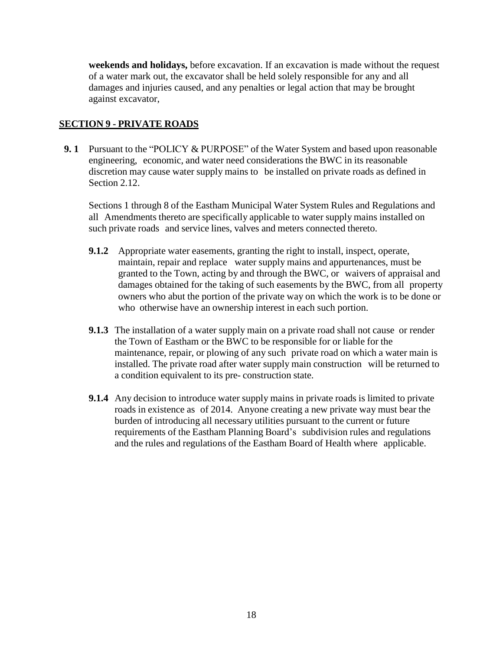**weekends and holidays,** before excavation. If an excavation is made without the request of a water mark out, the excavator shall be held solely responsible for any and all damages and injuries caused, and any penalties or legal action that may be brought against excavator,

## **SECTION 9 - PRIVATE ROADS**

**9. 1** Pursuant to the "POLICY & PURPOSE" of the Water System and based upon reasonable engineering, economic, and water need considerations the BWC in its reasonable discretion may cause water supply mains to be installed on private roads as defined in Section 2.12.

Sections 1 through 8 of the Eastham Municipal Water System Rules and Regulations and all Amendments thereto are specifically applicable to water supply mains installed on such private roads and service lines, valves and meters connected thereto.

- **9.1.2** Appropriate water easements, granting the right to install, inspect, operate, maintain, repair and replace water supply mains and appurtenances, must be granted to the Town, acting by and through the BWC, or waivers of appraisal and damages obtained for the taking of such easements by the BWC, from all property owners who abut the portion of the private way on which the work is to be done or who otherwise have an ownership interest in each such portion.
- **9.1.3** The installation of a water supply main on a private road shall not cause or render the Town of Eastham or the BWC to be responsible for or liable for the maintenance, repair, or plowing of any such private road on which a water main is installed. The private road after water supply main construction will be returned to a condition equivalent to its pre- construction state.
- **9.1.4** Any decision to introduce water supply mains in private roads is limited to private roads in existence as of 2014. Anyone creating a new private way must bear the burden of introducing all necessary utilities pursuant to the current or future requirements of the Eastham Planning Board's subdivision rules and regulations and the rules and regulations of the Eastham Board of Health where applicable.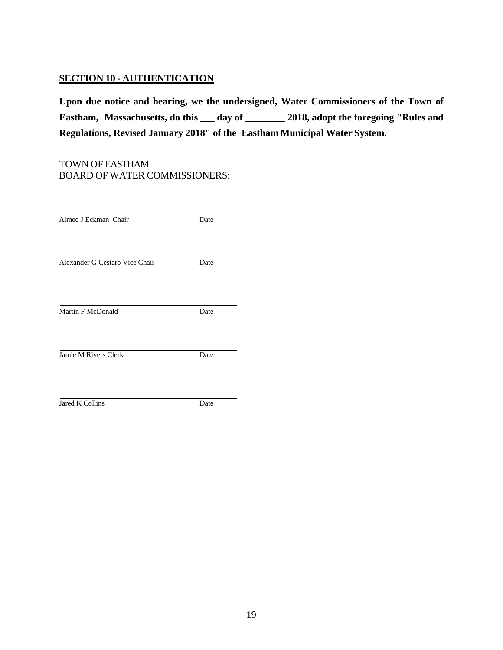# **SECTION 10 - AUTHENTICATION**

**Upon due notice and hearing, we the undersigned, Water Commissioners of the Town of Eastham, Massachusetts, do this \_\_\_ day of \_\_\_\_\_\_\_\_ 2018, adopt the foregoing "Rules and Regulations, Revised January 2018" of the Eastham Municipal Water System.**

### TOWN OF EASTHAM BOARD OF WATER COMMISSIONERS:

| Aimee J Eckman Chair           | Date |
|--------------------------------|------|
| Alexander G Cestaro Vice Chair | Date |
| Martin F McDonald              | Date |
| Jamie M Rivers Clerk           | Date |
| Jared K Collins                | Date |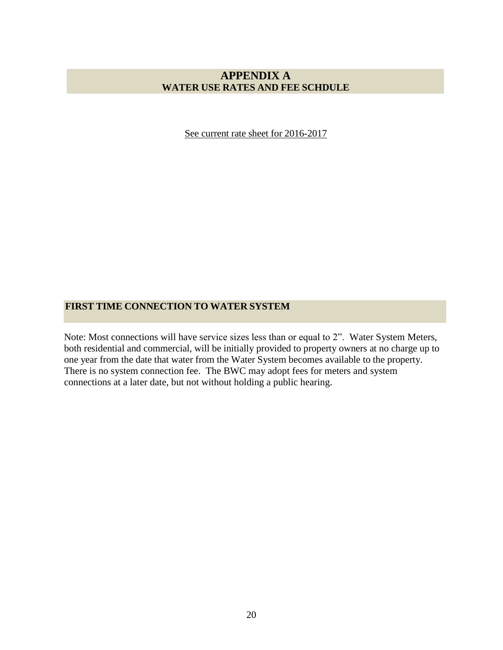## **APPENDIX A WATER USE RATES AND FEE SCHDULE**

See current rate sheet for 2016-2017

## **FIRST TIME CONNECTION TO WATER SYSTEM**

Note: Most connections will have service sizes less than or equal to 2". Water System Meters, both residential and commercial, will be initially provided to property owners at no charge up to one year from the date that water from the Water System becomes available to the property. There is no system connection fee. The BWC may adopt fees for meters and system connections at a later date, but not without holding a public hearing.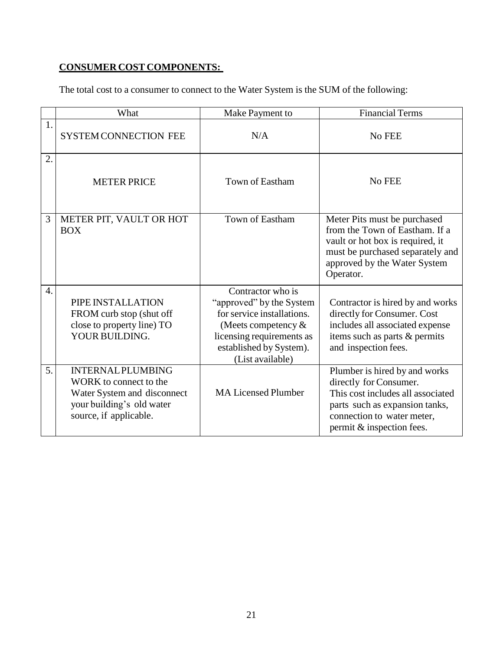# **CONSUMER COST COMPONENTS:**

The total cost to a consumer to connect to the Water System is the SUM of the following:

|                  | What                                                                                                                                     | Make Payment to                                                                                                                                                                   | <b>Financial Terms</b>                                                                                                                                                                    |
|------------------|------------------------------------------------------------------------------------------------------------------------------------------|-----------------------------------------------------------------------------------------------------------------------------------------------------------------------------------|-------------------------------------------------------------------------------------------------------------------------------------------------------------------------------------------|
| 1.               | <b>SYSTEM CONNECTION FEE</b>                                                                                                             | N/A                                                                                                                                                                               | No FEE                                                                                                                                                                                    |
| 2.               | <b>METER PRICE</b>                                                                                                                       | Town of Eastham                                                                                                                                                                   | No FEE                                                                                                                                                                                    |
| 3                | METER PIT, VAULT OR HOT<br><b>BOX</b>                                                                                                    | Town of Eastham                                                                                                                                                                   | Meter Pits must be purchased<br>from the Town of Eastham. If a<br>vault or hot box is required, it<br>must be purchased separately and<br>approved by the Water System<br>Operator.       |
| $\overline{4}$ . | PIPE INSTALLATION<br>FROM curb stop (shut off<br>close to property line) TO<br>YOUR BUILDING.                                            | Contractor who is<br>"approved" by the System<br>for service installations.<br>(Meets competency $\&$<br>licensing requirements as<br>established by System).<br>(List available) | Contractor is hired by and works<br>directly for Consumer. Cost<br>includes all associated expense<br>items such as parts & permits<br>and inspection fees.                               |
| 5.               | <b>INTERNAL PLUMBING</b><br>WORK to connect to the<br>Water System and disconnect<br>your building's old water<br>source, if applicable. | <b>MA Licensed Plumber</b>                                                                                                                                                        | Plumber is hired by and works<br>directly for Consumer.<br>This cost includes all associated<br>parts such as expansion tanks,<br>connection to water meter,<br>permit & inspection fees. |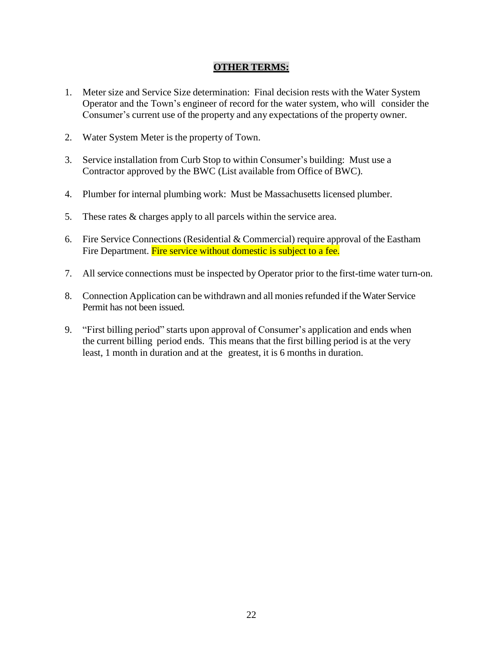## **OTHER TERMS:**

- 1. Meter size and Service Size determination: Final decision rests with the Water System Operator and the Town's engineer of record for the water system, who will consider the Consumer's current use of the property and any expectations of the property owner.
- 2. Water System Meter is the property of Town.
- 3. Service installation from Curb Stop to within Consumer's building: Must use a Contractor approved by the BWC (List available from Office of BWC).
- 4. Plumber for internal plumbing work: Must be Massachusetts licensed plumber.
- 5. These rates & charges apply to all parcels within the service area.
- 6. Fire Service Connections (Residential & Commercial) require approval of the Eastham Fire Department. Fire service without domestic is subject to a fee.
- 7. All service connections must be inspected by Operator prior to the first-time water turn-on.
- 8. Connection Application can be withdrawn and all monies refunded if the Water Service Permit has not been issued.
- 9. "First billing period" starts upon approval of Consumer's application and ends when the current billing period ends. This means that the first billing period is at the very least, 1 month in duration and at the greatest, it is 6 months in duration.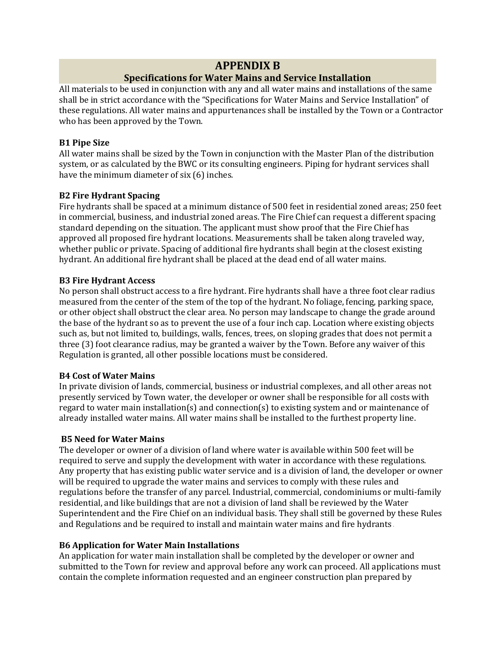## **APPENDIX B**

## **Specifications for Water Mains and Service Installation**

All materials to be used in conjunction with any and all water mains and installations of the same shall be in strict accordance with the "Specifications for Water Mains and Service Installation" of these regulations. All water mains and appurtenances shall be installed by the Town or a Contractor who has been approved by the Town.

#### **B1 Pipe Size**

All water mains shall be sized by the Town in conjunction with the Master Plan of the distribution system, or as calculated by the BWC or its consulting engineers. Piping for hydrant services shall have the minimum diameter of six (6) inches.

### **B2 Fire Hydrant Spacing**

Fire hydrants shall be spaced at a minimum distance of 500 feet in residential zoned areas; 250 feet in commercial, business, and industrial zoned areas. The Fire Chief can request a different spacing standard depending on the situation. The applicant must show proof that the Fire Chief has approved all proposed fire hydrant locations. Measurements shall be taken along traveled way, whether public or private. Spacing of additional fire hydrants shall begin at the closest existing hydrant. An additional fire hydrant shall be placed at the dead end of all water mains.

### **B3 Fire Hydrant Access**

No person shall obstruct access to a fire hydrant. Fire hydrants shall have a three foot clear radius measured from the center of the stem of the top of the hydrant. No foliage, fencing, parking space, or other object shall obstruct the clear area. No person may landscape to change the grade around the base of the hydrant so as to prevent the use of a four inch cap. Location where existing objects such as, but not limited to, buildings, walls, fences, trees, on sloping grades that does not permit a three (3) foot clearance radius, may be granted a waiver by the Town. Before any waiver of this Regulation is granted, all other possible locations must be considered.

#### **B4 Cost of Water Mains**

In private division of lands, commercial, business or industrial complexes, and all other areas not presently serviced by Town water, the developer or owner shall be responsible for all costs with regard to water main installation(s) and connection(s) to existing system and or maintenance of already installed water mains. All water mains shall be installed to the furthest property line.

## **B5 Need for Water Mains**

The developer or owner of a division of land where water is available within 500 feet will be required to serve and supply the development with water in accordance with these regulations. Any property that has existing public water service and is a division of land, the developer or owner will be required to upgrade the water mains and services to comply with these rules and regulations before the transfer of any parcel. Industrial, commercial, condominiums or multi-family residential, and like buildings that are not a division of land shall be reviewed by the Water Superintendent and the Fire Chief on an individual basis. They shall still be governed by these Rules and Regulations and be required to install and maintain water mains and fire hydrants.

## **B6 Application for Water Main Installations**

An application for water main installation shall be completed by the developer or owner and submitted to the Town for review and approval before any work can proceed. All applications must contain the complete information requested and an engineer construction plan prepared by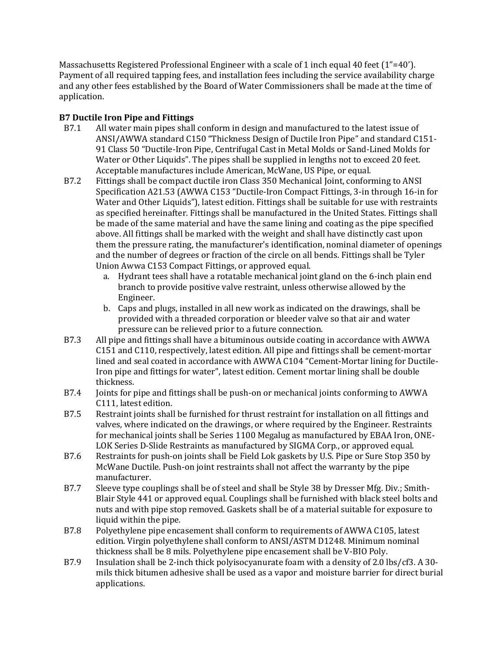Massachusetts Registered Professional Engineer with a scale of 1 inch equal 40 feet (1"=40'). Payment of all required tapping fees, and installation fees including the service availability charge and any other fees established by the Board of Water Commissioners shall be made at the time of application.

## **B7 Ductile Iron Pipe and Fittings**

- B7.1 All water main pipes shall conform in design and manufactured to the latest issue of ANSI/AWWA standard C150 "Thickness Design of Ductile Iron Pipe" and standard C151- 91 Class 50 "Ductile-Iron Pipe, Centrifugal Cast in Metal Molds or Sand-Lined Molds for Water or Other Liquids". The pipes shall be supplied in lengths not to exceed 20 feet. Acceptable manufactures include American, McWane, US Pipe, or equal.
- B7.2 Fittings shall be compact ductile iron Class 350 Mechanical Joint, conforming to ANSI Specification A21.53 (AWWA C153 "Ductile-Iron Compact Fittings, 3-in through 16-in for Water and Other Liquids"), latest edition. Fittings shall be suitable for use with restraints as specified hereinafter. Fittings shall be manufactured in the United States. Fittings shall be made of the same material and have the same lining and coating as the pipe specified above. All fittings shall be marked with the weight and shall have distinctly cast upon them the pressure rating, the manufacturer's identification, nominal diameter of openings and the number of degrees or fraction of the circle on all bends. Fittings shall be Tyler Union Awwa C153 Compact Fittings, or approved equal.
	- a. Hydrant tees shall have a rotatable mechanical joint gland on the 6-inch plain end branch to provide positive valve restraint, unless otherwise allowed by the Engineer.
	- b. Caps and plugs, installed in all new work as indicated on the drawings, shall be provided with a threaded corporation or bleeder valve so that air and water pressure can be relieved prior to a future connection.
- B7.3 All pipe and fittings shall have a bituminous outside coating in accordance with AWWA C151 and C110, respectively, latest edition. All pipe and fittings shall be cement-mortar lined and seal coated in accordance with AWWA C104 "Cement-Mortar lining for Ductile-Iron pipe and fittings for water", latest edition. Cement mortar lining shall be double thickness.
- B7.4 Joints for pipe and fittings shall be push-on or mechanical joints conforming to AWWA C111, latest edition.
- B7.5 Restraint joints shall be furnished for thrust restraint for installation on all fittings and valves, where indicated on the drawings, or where required by the Engineer. Restraints for mechanical joints shall be Series 1100 Megalug as manufactured by EBAA Iron, ONE-LOK Series D-Slide Restraints as manufactured by SIGMA Corp., or approved equal.
- B7.6 Restraints for push-on joints shall be Field Lok gaskets by U.S. Pipe or Sure Stop 350 by McWane Ductile. Push-on joint restraints shall not affect the warranty by the pipe manufacturer.
- B7.7 Sleeve type couplings shall be of steel and shall be Style 38 by Dresser Mfg. Div.; Smith-Blair Style 441 or approved equal. Couplings shall be furnished with black steel bolts and nuts and with pipe stop removed. Gaskets shall be of a material suitable for exposure to liquid within the pipe.
- B7.8 Polyethylene pipe encasement shall conform to requirements of AWWA C105, latest edition. Virgin polyethylene shall conform to ANSI/ASTM D1248. Minimum nominal thickness shall be 8 mils. Polyethylene pipe encasement shall be V-BIO Poly.
- B7.9 Insulation shall be 2-inch thick polyisocyanurate foam with a density of 2.0 lbs/cf3. A 30 mils thick bitumen adhesive shall be used as a vapor and moisture barrier for direct burial applications.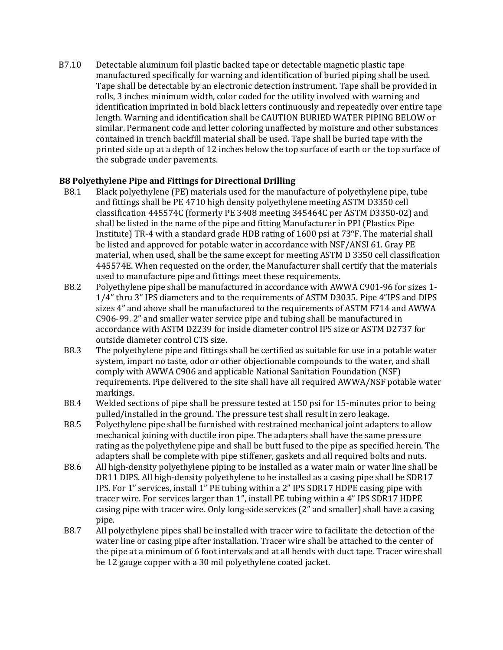B7.10 Detectable aluminum foil plastic backed tape or detectable magnetic plastic tape manufactured specifically for warning and identification of buried piping shall be used. Tape shall be detectable by an electronic detection instrument. Tape shall be provided in rolls, 3 inches minimum width, color coded for the utility involved with warning and identification imprinted in bold black letters continuously and repeatedly over entire tape length. Warning and identification shall be CAUTION BURIED WATER PIPING BELOW or similar. Permanent code and letter coloring unaffected by moisture and other substances contained in trench backfill material shall be used. Tape shall be buried tape with the printed side up at a depth of 12 inches below the top surface of earth or the top surface of the subgrade under pavements.

#### **B8 Polyethylene Pipe and Fittings for Directional Drilling**

- B8.1 Black polyethylene (PE) materials used for the manufacture of polyethylene pipe, tube and fittings shall be PE 4710 high density polyethylene meeting ASTM D3350 cell classification 445574C (formerly PE 3408 meeting 345464C per ASTM D3350-02) and shall be listed in the name of the pipe and fitting Manufacturer in PPI (Plastics Pipe Institute) TR-4 with a standard grade HDB rating of 1600 psi at 73°F. The material shall be listed and approved for potable water in accordance with NSF/ANSI 61. Gray PE material, when used, shall be the same except for meeting ASTM D 3350 cell classification 445574E. When requested on the order, the Manufacturer shall certify that the materials used to manufacture pipe and fittings meet these requirements.
- B8.2 Polyethylene pipe shall be manufactured in accordance with AWWA C901-96 for sizes 1- 1/4" thru 3" IPS diameters and to the requirements of ASTM D3035. Pipe 4"IPS and DIPS sizes 4" and above shall be manufactured to the requirements of ASTM F714 and AWWA C906-99. 2" and smaller water service pipe and tubing shall be manufactured in accordance with ASTM D2239 for inside diameter control IPS size or ASTM D2737 for outside diameter control CTS size.
- B8.3 The polyethylene pipe and fittings shall be certified as suitable for use in a potable water system, impart no taste, odor or other objectionable compounds to the water, and shall comply with AWWA C906 and applicable National Sanitation Foundation (NSF) requirements. Pipe delivered to the site shall have all required AWWA/NSF potable water markings.
- B8.4 Welded sections of pipe shall be pressure tested at 150 psi for 15-minutes prior to being pulled/installed in the ground. The pressure test shall result in zero leakage.
- B8.5 Polyethylene pipe shall be furnished with restrained mechanical joint adapters to allow mechanical joining with ductile iron pipe. The adapters shall have the same pressure rating as the polyethylene pipe and shall be butt fused to the pipe as specified herein. The adapters shall be complete with pipe stiffener, gaskets and all required bolts and nuts.
- B8.6 All high-density polyethylene piping to be installed as a water main or water line shall be DR11 DIPS. All high-density polyethylene to be installed as a casing pipe shall be SDR17 IPS. For 1" services, install 1" PE tubing within a 2" IPS SDR17 HDPE casing pipe with tracer wire. For services larger than 1", install PE tubing within a 4" IPS SDR17 HDPE casing pipe with tracer wire. Only long-side services (2" and smaller) shall have a casing pipe.
- B8.7 All polyethylene pipes shall be installed with tracer wire to facilitate the detection of the water line or casing pipe after installation. Tracer wire shall be attached to the center of the pipe at a minimum of 6 foot intervals and at all bends with duct tape. Tracer wire shall be 12 gauge copper with a 30 mil polyethylene coated jacket.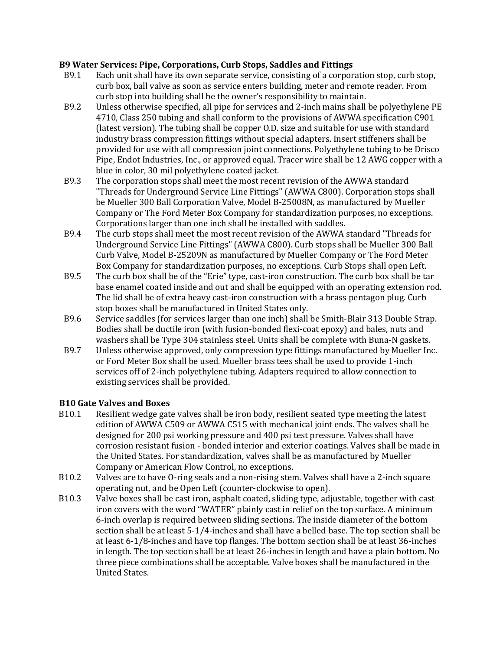#### **B9 Water Services: Pipe, Corporations, Curb Stops, Saddles and Fittings**

- B9.1 Each unit shall have its own separate service, consisting of a corporation stop, curb stop, curb box, ball valve as soon as service enters building, meter and remote reader. From curb stop into building shall be the owner's responsibility to maintain.
- B9.2 Unless otherwise specified, all pipe for services and 2-inch mains shall be polyethylene PE 4710, Class 250 tubing and shall conform to the provisions of AWWA specification C901 (latest version). The tubing shall be copper O.D. size and suitable for use with standard industry brass compression fittings without special adapters. Insert stiffeners shall be provided for use with all compression joint connections. Polyethylene tubing to be Drisco Pipe, Endot Industries, Inc., or approved equal. Tracer wire shall be 12 AWG copper with a blue in color, 30 mil polyethylene coated jacket.
- B9.3 The corporation stops shall meet the most recent revision of the AWWA standard "Threads for Underground Service Line Fittings" (AWWA C800). Corporation stops shall be Mueller 300 Ball Corporation Valve, Model B-25008N, as manufactured by Mueller Company or The Ford Meter Box Company for standardization purposes, no exceptions. Corporations larger than one inch shall be installed with saddles.
- B9.4 The curb stops shall meet the most recent revision of the AWWA standard "Threads for Underground Service Line Fittings" (AWWA C800). Curb stops shall be Mueller 300 Ball Curb Valve, Model B-25209N as manufactured by Mueller Company or The Ford Meter Box Company for standardization purposes, no exceptions. Curb Stops shall open Left.
- B9.5 The curb box shall be of the "Erie" type, cast-iron construction. The curb box shall be tar base enamel coated inside and out and shall be equipped with an operating extension rod. The lid shall be of extra heavy cast-iron construction with a brass pentagon plug. Curb stop boxes shall be manufactured in United States only.
- B9.6 Service saddles (for services larger than one inch) shall be Smith-Blair 313 Double Strap. Bodies shall be ductile iron (with fusion-bonded flexi-coat epoxy) and bales, nuts and washers shall be Type 304 stainless steel. Units shall be complete with Buna-N gaskets.
- B9.7 Unless otherwise approved, only compression type fittings manufactured by Mueller Inc. or Ford Meter Box shall be used. Mueller brass tees shall be used to provide 1-inch services off of 2-inch polyethylene tubing. Adapters required to allow connection to existing services shall be provided.

#### **B10 Gate Valves and Boxes**

- B10.1 Resilient wedge gate valves shall be iron body, resilient seated type meeting the latest edition of AWWA C509 or AWWA C515 with mechanical joint ends. The valves shall be designed for 200 psi working pressure and 400 psi test pressure. Valves shall have corrosion resistant fusion - bonded interior and exterior coatings. Valves shall be made in the United States. For standardization, valves shall be as manufactured by Mueller Company or American Flow Control, no exceptions.
- B10.2 Valves are to have O-ring seals and a non-rising stem. Valves shall have a 2-inch square operating nut, and be Open Left (counter-clockwise to open).
- B10.3 Valve boxes shall be cast iron, asphalt coated, sliding type, adjustable, together with cast iron covers with the word "WATER" plainly cast in relief on the top surface. A minimum 6-inch overlap is required between sliding sections. The inside diameter of the bottom section shall be at least 5-1/4-inches and shall have a belled base. The top section shall be at least 6-1/8-inches and have top flanges. The bottom section shall be at least 36-inches in length. The top section shall be at least 26-inches in length and have a plain bottom. No three piece combinations shall be acceptable. Valve boxes shall be manufactured in the United States.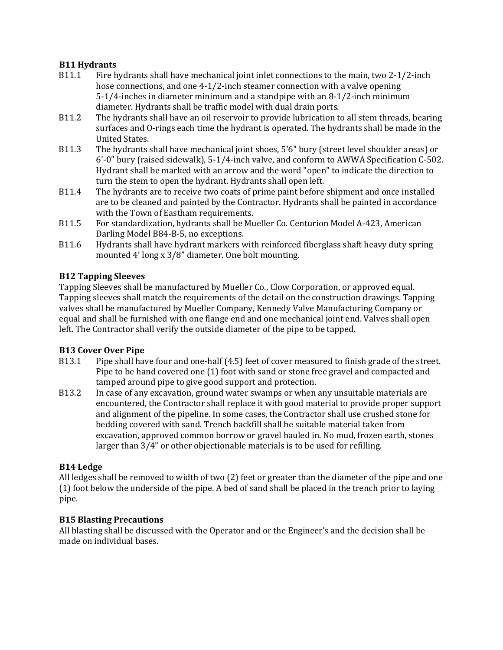### **B11 Hydrants**

- B11.1 Fire hydrants shall have mechanical joint inlet connections to the main, two 2-1/2-inch hose connections, and one 4-1/2-inch steamer connection with a valve opening 5-1/4-inches in diameter minimum and a standpipe with an 8-1/2-inch minimum diameter. Hydrants shall be traffic model with dual drain ports.
- B11.2 The hydrants shall have an oil reservoir to provide lubrication to all stem threads, bearing surfaces and O-rings each time the hydrant is operated. The hydrants shall be made in the United States.
- B11.3 The hydrants shall have mechanical joint shoes, 5'6" bury (street level shoulder areas) or 6'-0" bury (raised sidewalk), 5-1/4-inch valve, and conform to AWWA Specification C-502. Hydrant shall be marked with an arrow and the word "open" to indicate the direction to turn the stem to open the hydrant. Hydrants shall open left.
- B11.4 The hydrants are to receive two coats of prime paint before shipment and once installed are to be cleaned and painted by the Contractor. Hydrants shall be painted in accordance with the Town of Eastham requirements.
- B11.5 For standardization, hydrants shall be Mueller Co. Centurion Model A-423, American Darling Model B84-B-5, no exceptions.
- B11.6 Hydrants shall have hydrant markers with reinforced fiberglass shaft heavy duty spring mounted 4' long x 3/8" diameter. One bolt mounting.

### **B12 Tapping Sleeves**

Tapping Sleeves shall be manufactured by Mueller Co., Clow Corporation, or approved equal. Tapping sleeves shall match the requirements of the detail on the construction drawings. Tapping valves shall be manufactured by Mueller Company, Kennedy Valve Manufacturing Company or equal and shall be furnished with one flange end and one mechanical joint end. Valves shall open left. The Contractor shall verify the outside diameter of the pipe to be tapped.

#### **B13 Cover Over Pipe**

- B13.1 Pipe shall have four and one-half (4.5) feet of cover measured to finish grade of the street. Pipe to be hand covered one (1) foot with sand or stone free gravel and compacted and tamped around pipe to give good support and protection.
- B13.2 In case of any excavation, ground water swamps or when any unsuitable materials are encountered, the Contractor shall replace it with good material to provide proper support and alignment of the pipeline. In some cases, the Contractor shall use crushed stone for bedding covered with sand. Trench backfill shall be suitable material taken from excavation, approved common borrow or gravel hauled in. No mud, frozen earth, stones larger than 3/4" or other objectionable materials is to be used for refilling.

#### **B14 Ledge**

All ledges shall be removed to width of two (2) feet or greater than the diameter of the pipe and one (1) foot below the underside of the pipe. A bed of sand shall be placed in the trench prior to laying pipe.

#### **B15 Blasting Precautions**

All blasting shall be discussed with the Operator and or the Engineer's and the decision shall be made on individual bases.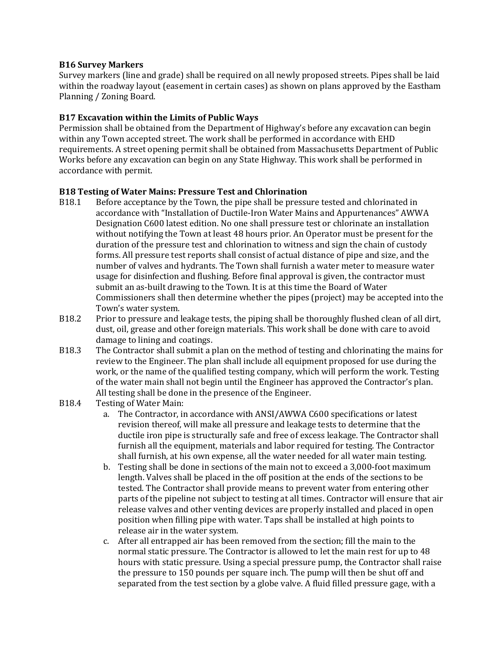#### **B16 Survey Markers**

Survey markers (line and grade) shall be required on all newly proposed streets. Pipes shall be laid within the roadway layout (easement in certain cases) as shown on plans approved by the Eastham Planning / Zoning Board.

#### **B17 Excavation within the Limits of Public Ways**

Permission shall be obtained from the Department of Highway's before any excavation can begin within any Town accepted street. The work shall be performed in accordance with EHD requirements. A street opening permit shall be obtained from Massachusetts Department of Public Works before any excavation can begin on any State Highway. This work shall be performed in accordance with permit.

#### **B18 Testing of Water Mains: Pressure Test and Chlorination**

- B18.1 Before acceptance by the Town, the pipe shall be pressure tested and chlorinated in accordance with "Installation of Ductile-Iron Water Mains and Appurtenances" AWWA Designation C600 latest edition. No one shall pressure test or chlorinate an installation without notifying the Town at least 48 hours prior. An Operator must be present for the duration of the pressure test and chlorination to witness and sign the chain of custody forms. All pressure test reports shall consist of actual distance of pipe and size, and the number of valves and hydrants. The Town shall furnish a water meter to measure water usage for disinfection and flushing. Before final approval is given, the contractor must submit an as-built drawing to the Town. It is at this time the Board of Water Commissioners shall then determine whether the pipes (project) may be accepted into the Town's water system.
- B18.2 Prior to pressure and leakage tests, the piping shall be thoroughly flushed clean of all dirt, dust, oil, grease and other foreign materials. This work shall be done with care to avoid damage to lining and coatings.
- B18.3 The Contractor shall submit a plan on the method of testing and chlorinating the mains for review to the Engineer. The plan shall include all equipment proposed for use during the work, or the name of the qualified testing company, which will perform the work. Testing of the water main shall not begin until the Engineer has approved the Contractor's plan. All testing shall be done in the presence of the Engineer.
- B18.4 Testing of Water Main:
	- a. The Contractor, in accordance with ANSI/AWWA C600 specifications or latest revision thereof, will make all pressure and leakage tests to determine that the ductile iron pipe is structurally safe and free of excess leakage. The Contractor shall furnish all the equipment, materials and labor required for testing. The Contractor shall furnish, at his own expense, all the water needed for all water main testing.
	- b. Testing shall be done in sections of the main not to exceed a 3,000-foot maximum length. Valves shall be placed in the off position at the ends of the sections to be tested. The Contractor shall provide means to prevent water from entering other parts of the pipeline not subject to testing at all times. Contractor will ensure that air release valves and other venting devices are properly installed and placed in open position when filling pipe with water. Taps shall be installed at high points to release air in the water system.
	- c. After all entrapped air has been removed from the section; fill the main to the normal static pressure. The Contractor is allowed to let the main rest for up to 48 hours with static pressure. Using a special pressure pump, the Contractor shall raise the pressure to 150 pounds per square inch. The pump will then be shut off and separated from the test section by a globe valve. A fluid filled pressure gage, with a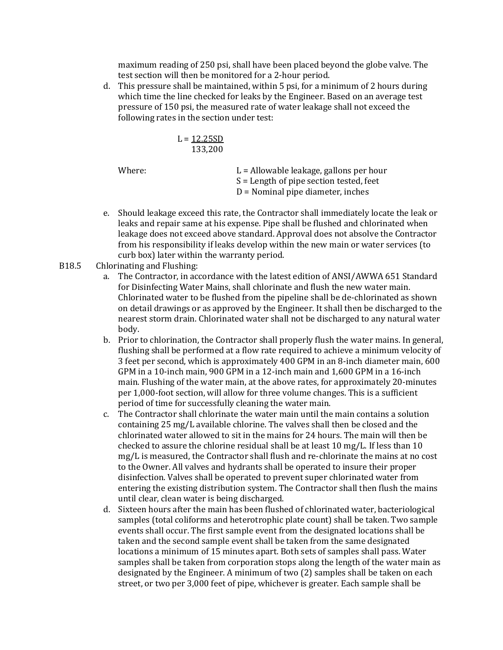maximum reading of 250 psi, shall have been placed beyond the globe valve. The test section will then be monitored for a 2-hour period.

d. This pressure shall be maintained, within 5 psi, for a minimum of 2 hours during which time the line checked for leaks by the Engineer. Based on an average test pressure of 150 psi, the measured rate of water leakage shall not exceed the following rates in the section under test:

$$
L = \frac{12.25SD}{133,200}
$$

Where: L = Allowable leakage, gallons per hour S = Length of pipe section tested, feet D = Nominal pipe diameter, inches

- e. Should leakage exceed this rate, the Contractor shall immediately locate the leak or leaks and repair same at his expense. Pipe shall be flushed and chlorinated when leakage does not exceed above standard. Approval does not absolve the Contractor from his responsibility if leaks develop within the new main or water services (to curb box) later within the warranty period.
- B18.5 Chlorinating and Flushing:
	- a. The Contractor, in accordance with the latest edition of ANSI/AWWA 651 Standard for Disinfecting Water Mains, shall chlorinate and flush the new water main. Chlorinated water to be flushed from the pipeline shall be de-chlorinated as shown on detail drawings or as approved by the Engineer. It shall then be discharged to the nearest storm drain. Chlorinated water shall not be discharged to any natural water body.
	- b. Prior to chlorination, the Contractor shall properly flush the water mains. In general, flushing shall be performed at a flow rate required to achieve a minimum velocity of 3 feet per second, which is approximately 400 GPM in an 8-inch diameter main, 600 GPM in a 10-inch main, 900 GPM in a 12-inch main and 1,600 GPM in a 16-inch main. Flushing of the water main, at the above rates, for approximately 20-minutes per 1,000-foot section, will allow for three volume changes. This is a sufficient period of time for successfully cleaning the water main.
	- c. The Contractor shall chlorinate the water main until the main contains a solution containing 25 mg/L available chlorine. The valves shall then be closed and the chlorinated water allowed to sit in the mains for 24 hours. The main will then be checked to assure the chlorine residual shall be at least 10 mg/L. If less than 10 mg/L is measured, the Contractor shall flush and re-chlorinate the mains at no cost to the Owner. All valves and hydrants shall be operated to insure their proper disinfection. Valves shall be operated to prevent super chlorinated water from entering the existing distribution system. The Contractor shall then flush the mains until clear, clean water is being discharged.
	- d. Sixteen hours after the main has been flushed of chlorinated water, bacteriological samples (total coliforms and heterotrophic plate count) shall be taken. Two sample events shall occur. The first sample event from the designated locations shall be taken and the second sample event shall be taken from the same designated locations a minimum of 15 minutes apart. Both sets of samples shall pass. Water samples shall be taken from corporation stops along the length of the water main as designated by the Engineer. A minimum of two (2) samples shall be taken on each street, or two per 3,000 feet of pipe, whichever is greater. Each sample shall be